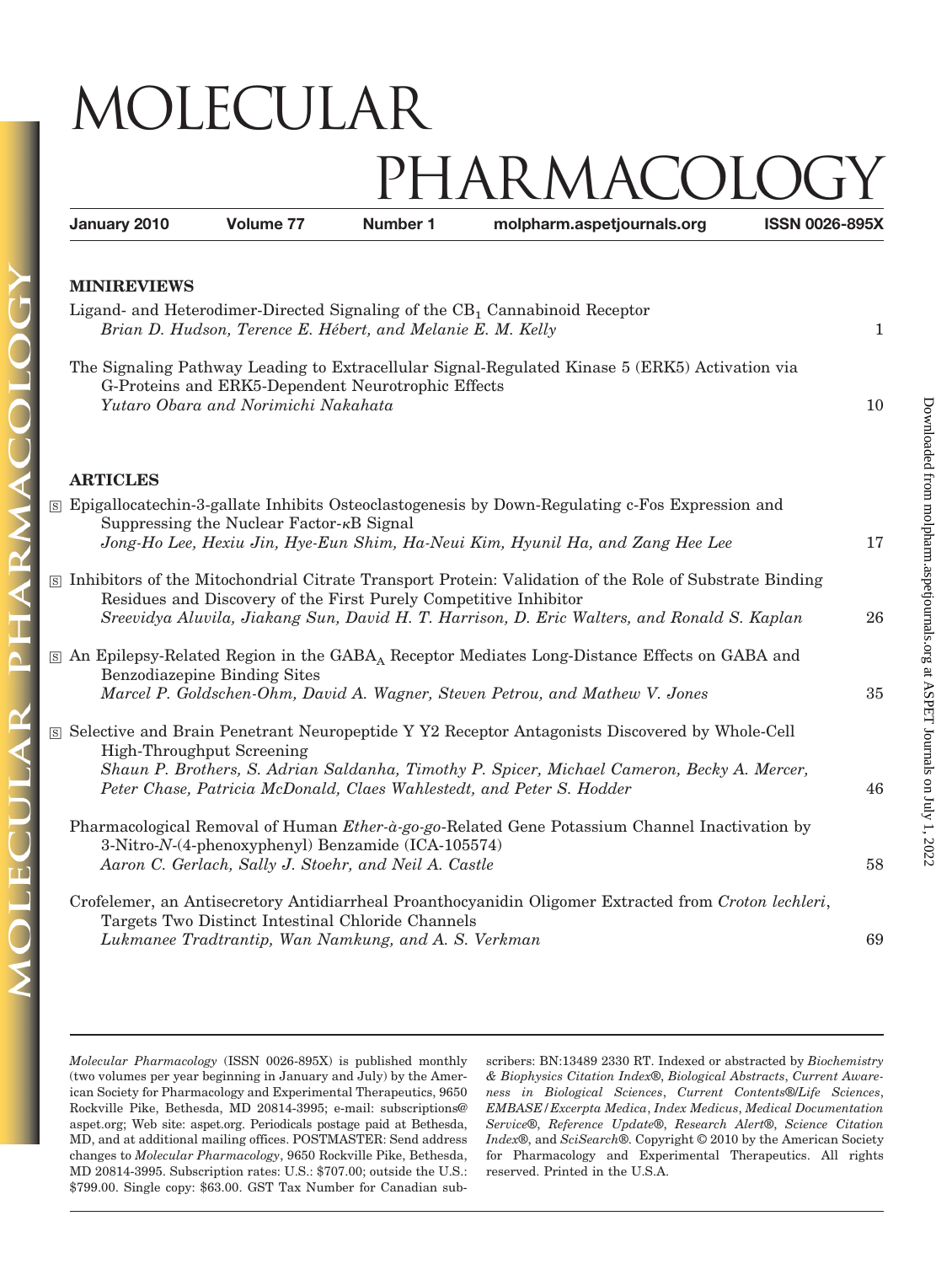## MOLECULAR

## PHARMACOLO

| January 2010                                                                                                                                          | Volume 77                                                                                                   | <b>Number 1</b> | molpharm.aspetjournals.org                                                                                                                                                                                                                                              | <b>ISSN 0026-895X</b> |  |
|-------------------------------------------------------------------------------------------------------------------------------------------------------|-------------------------------------------------------------------------------------------------------------|-----------------|-------------------------------------------------------------------------------------------------------------------------------------------------------------------------------------------------------------------------------------------------------------------------|-----------------------|--|
| <b>MINIREVIEWS</b>                                                                                                                                    |                                                                                                             |                 |                                                                                                                                                                                                                                                                         |                       |  |
| Ligand- and Heterodimer-Directed Signaling of the CB <sub>1</sub> Cannabinoid Receptor<br>Brian D. Hudson, Terence E. Hébert, and Melanie E. M. Kelly |                                                                                                             |                 |                                                                                                                                                                                                                                                                         |                       |  |
|                                                                                                                                                       | G-Proteins and ERK5-Dependent Neurotrophic Effects<br>Yutaro Obara and Norimichi Nakahata                   |                 | The Signaling Pathway Leading to Extracellular Signal-Regulated Kinase 5 (ERK5) Activation via                                                                                                                                                                          | 10                    |  |
| <b>ARTICLES</b>                                                                                                                                       |                                                                                                             |                 |                                                                                                                                                                                                                                                                         |                       |  |
|                                                                                                                                                       | Suppressing the Nuclear Factor- $\kappa$ B Signal                                                           |                 | S Epigallocatechin-3-gallate Inhibits Osteoclastogenesis by Down-Regulating c-Fos Expression and<br>Jong-Ho Lee, Hexiu Jin, Hye-Eun Shim, Ha-Neui Kim, Hyunil Ha, and Zang Hee Lee                                                                                      | 17                    |  |
|                                                                                                                                                       | Residues and Discovery of the First Purely Competitive Inhibitor                                            |                 | S Inhibitors of the Mitochondrial Citrate Transport Protein: Validation of the Role of Substrate Binding<br>Sreevidya Aluvila, Jiakang Sun, David H. T. Harrison, D. Eric Walters, and Ronald S. Kaplan                                                                 | 26                    |  |
|                                                                                                                                                       | Benzodiazepine Binding Sites                                                                                |                 | S An Epilepsy-Related Region in the GABA Receptor Mediates Long-Distance Effects on GABA and<br>Marcel P. Goldschen-Ohm, David A. Wagner, Steven Petrou, and Mathew V. Jones                                                                                            | 35                    |  |
|                                                                                                                                                       | High-Throughput Screening                                                                                   |                 | S Selective and Brain Penetrant Neuropeptide Y Y2 Receptor Antagonists Discovered by Whole-Cell<br>Shaun P. Brothers, S. Adrian Saldanha, Timothy P. Spicer, Michael Cameron, Becky A. Mercer,<br>Peter Chase, Patricia McDonald, Claes Wahlestedt, and Peter S. Hodder | 46                    |  |
|                                                                                                                                                       | 3-Nitro-N-(4-phenoxyphenyl) Benzamide (ICA-105574)<br>Aaron C. Gerlach, Sally J. Stoehr, and Neil A. Castle |                 | Pharmacological Removal of Human Ether-à-go-go-Related Gene Potassium Channel Inactivation by                                                                                                                                                                           | 58                    |  |
|                                                                                                                                                       | Targets Two Distinct Intestinal Chloride Channels<br>Lukmanee Tradtrantip, Wan Namkung, and A. S. Verkman   |                 | Crofelemer, an Antisecretory Antidiarrheal Proanthocyanidin Oligomer Extracted from Croton lechleri,                                                                                                                                                                    | 69                    |  |

*Molecular Pharmacology* (ISSN 0026-895X) is published monthly (two volumes per year beginning in January and July) by the American Society for Pharmacology and Experimental Therapeutics, 9650 Rockville Pike, Bethesda, MD 20814-3995; e-mail: subscriptions@ aspet.org; Web site: aspet.org. Periodicals postage paid at Bethesda, MD, and at additional mailing offices. POSTMASTER: Send address changes to *Molecular Pharmacology*, 9650 Rockville Pike, Bethesda, MD 20814-3995. Subscription rates: U.S.: \$707.00; outside the U.S.: \$799.00. Single copy: \$63.00. GST Tax Number for Canadian sub-

 $\mathbf{R}$ 

scribers: BN:13489 2330 RT. Indexed or abstracted by *Biochemistry & Biophysics Citation Index*®, *Biological Abstracts*, *Current Awareness in Biological Sciences*, *Current Contents*®/*Life Sciences*, *EMBASE/Excerpta Medica*, *Index Medicus*, *Medical Documentation Service*®, *Reference Update*®, *Research Alert*®, *Science Citation Index*®, and *SciSearch*®. Copyright © 2010 by the American Society for Pharmacology and Experimental Therapeutics. All rights reserved. Printed in the U.S.A.